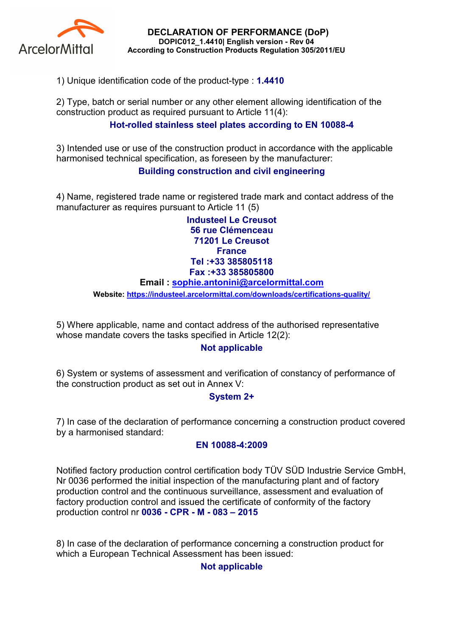

DECLARATION OF PERFORMANCE (DoP) DOPIC012\_1.4410| English version - Rev 04 According to Construction Products Regulation 305/2011/EU

1) Unique identification code of the product-type : 1.4410

2) Type, batch or serial number or any other element allowing identification of the construction product as required pursuant to Article 11(4):

## Hot-rolled stainless steel plates according to EN 10088-4

3) Intended use or use of the construction product in accordance with the applicable harmonised technical specification, as foreseen by the manufacturer:

## Building construction and civil engineering

4) Name, registered trade name or registered trade mark and contact address of the manufacturer as requires pursuant to Article 11 (5)

> Industeel Le Creusot 56 rue Clémenceau 71201 Le Creusot **France** Tel :+33 385805118 Fax :+33 385805800

#### Email : sophie.antonini@arcelormittal.com

Website: https://industeel.arcelormittal.com/downloads/certifications-quality/

5) Where applicable, name and contact address of the authorised representative whose mandate covers the tasks specified in Article 12(2):

### Not applicable

6) System or systems of assessment and verification of constancy of performance of the construction product as set out in Annex V:

### System 2+

7) In case of the declaration of performance concerning a construction product covered by a harmonised standard:

#### EN 10088-4:2009

Notified factory production control certification body TÜV SÜD Industrie Service GmbH, Nr 0036 performed the initial inspection of the manufacturing plant and of factory production control and the continuous surveillance, assessment and evaluation of factory production control and issued the certificate of conformity of the factory production control nr 0036 - CPR - M - 083 – 2015

8) In case of the declaration of performance concerning a construction product for which a European Technical Assessment has been issued:

### Not applicable